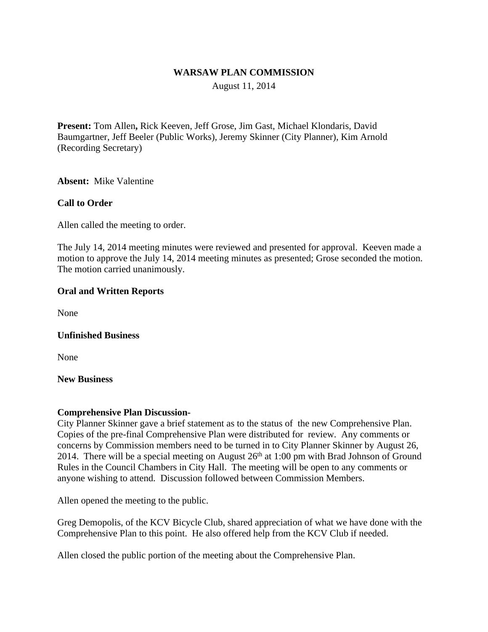## **WARSAW PLAN COMMISSION**

August 11, 2014

**Present:** Tom Allen**,** Rick Keeven, Jeff Grose, Jim Gast, Michael Klondaris, David Baumgartner, Jeff Beeler (Public Works), Jeremy Skinner (City Planner), Kim Arnold (Recording Secretary)

**Absent:** Mike Valentine

#### **Call to Order**

Allen called the meeting to order.

The July 14, 2014 meeting minutes were reviewed and presented for approval. Keeven made a motion to approve the July 14, 2014 meeting minutes as presented; Grose seconded the motion. The motion carried unanimously.

#### **Oral and Written Reports**

None

#### **Unfinished Business**

None

## **New Business**

## **Comprehensive Plan Discussion-**

City Planner Skinner gave a brief statement as to the status of the new Comprehensive Plan. Copies of the pre-final Comprehensive Plan were distributed for review. Any comments or concerns by Commission members need to be turned in to City Planner Skinner by August 26, 2014. There will be a special meeting on August  $26<sup>th</sup>$  at 1:00 pm with Brad Johnson of Ground Rules in the Council Chambers in City Hall. The meeting will be open to any comments or anyone wishing to attend. Discussion followed between Commission Members.

Allen opened the meeting to the public.

Greg Demopolis, of the KCV Bicycle Club, shared appreciation of what we have done with the Comprehensive Plan to this point. He also offered help from the KCV Club if needed.

Allen closed the public portion of the meeting about the Comprehensive Plan.